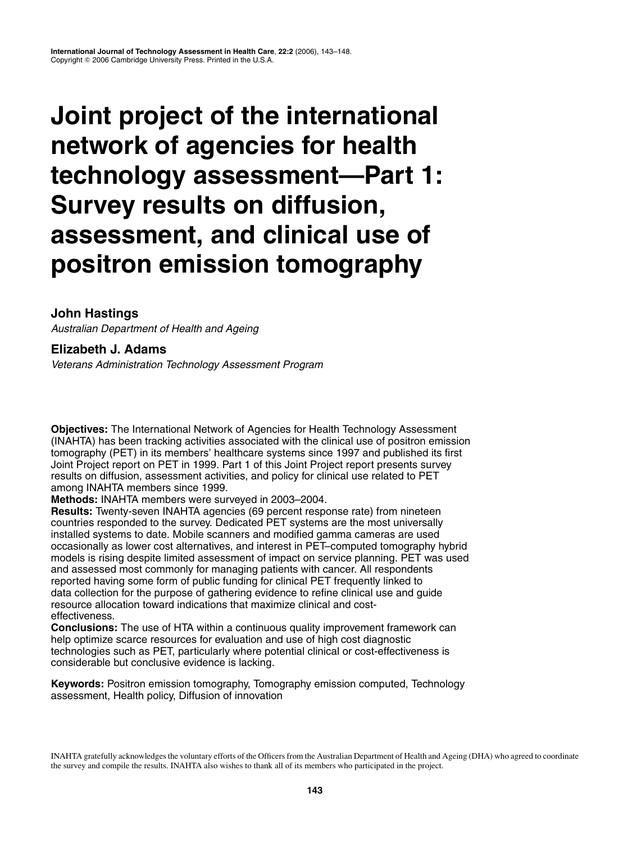# **Joint project of the international network of agencies for health technology assessment—Part 1: Survey results on diffusion, assessment, and clinical use of positron emission tomography**

# **John Hastings**

Australian Department of Health and Ageing

# **Elizabeth J. Adams**

Veterans Administration Technology Assessment Program

**Objectives:** The International Network of Agencies for Health Technology Assessment (INAHTA) has been tracking activities associated with the clinical use of positron emission tomography (PET) in its members' healthcare systems since 1997 and published its first Joint Project report on PET in 1999. Part 1 of this Joint Project report presents survey results on diffusion, assessment activities, and policy for clinical use related to PET among INAHTA members since 1999.

**Methods:** INAHTA members were surveyed in 2003–2004.

**Results:** Twenty-seven INAHTA agencies (69 percent response rate) from nineteen countries responded to the survey. Dedicated PET systems are the most universally installed systems to date. Mobile scanners and modified gamma cameras are used occasionally as lower cost alternatives, and interest in PET–computed tomography hybrid models is rising despite limited assessment of impact on service planning. PET was used and assessed most commonly for managing patients with cancer. All respondents reported having some form of public funding for clinical PET frequently linked to data collection for the purpose of gathering evidence to refine clinical use and guide resource allocation toward indications that maximize clinical and costeffectiveness.

**Conclusions:** The use of HTA within a continuous quality improvement framework can help optimize scarce resources for evaluation and use of high cost diagnostic technologies such as PET, particularly where potential clinical or cost-effectiveness is considerable but conclusive evidence is lacking.

**Keywords:** Positron emission tomography, Tomography emission computed, Technology assessment, Health policy, Diffusion of innovation

INAHTA gratefully acknowledges the voluntary efforts of the Officers from the Australian Department of Health and Ageing (DHA) who agreed to coordinate the survey and compile the results. INAHTA also wishes to thank all of its members who participated in the project.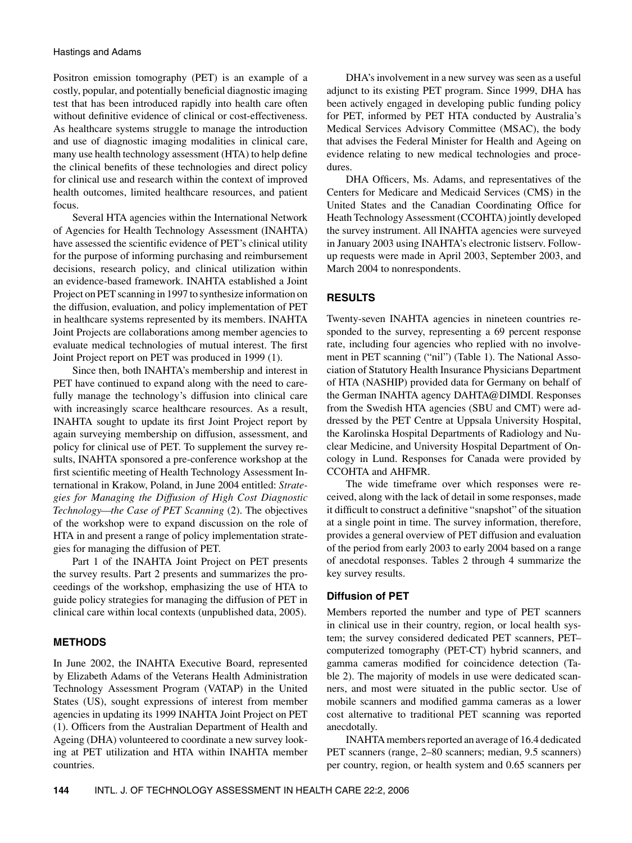Positron emission tomography (PET) is an example of a costly, popular, and potentially beneficial diagnostic imaging test that has been introduced rapidly into health care often without definitive evidence of clinical or cost-effectiveness. As healthcare systems struggle to manage the introduction and use of diagnostic imaging modalities in clinical care, many use health technology assessment (HTA) to help define the clinical benefits of these technologies and direct policy for clinical use and research within the context of improved health outcomes, limited healthcare resources, and patient focus.

Several HTA agencies within the International Network of Agencies for Health Technology Assessment (INAHTA) have assessed the scientific evidence of PET's clinical utility for the purpose of informing purchasing and reimbursement decisions, research policy, and clinical utilization within an evidence-based framework. INAHTA established a Joint Project on PET scanning in 1997 to synthesize information on the diffusion, evaluation, and policy implementation of PET in healthcare systems represented by its members. INAHTA Joint Projects are collaborations among member agencies to evaluate medical technologies of mutual interest. The first Joint Project report on PET was produced in 1999 (1).

Since then, both INAHTA's membership and interest in PET have continued to expand along with the need to carefully manage the technology's diffusion into clinical care with increasingly scarce healthcare resources. As a result, INAHTA sought to update its first Joint Project report by again surveying membership on diffusion, assessment, and policy for clinical use of PET. To supplement the survey results, INAHTA sponsored a pre-conference workshop at the first scientific meeting of Health Technology Assessment International in Krakow, Poland, in June 2004 entitled: *Strategies for Managing the Diffusion of High Cost Diagnostic Technology—the Case of PET Scanning* (2). The objectives of the workshop were to expand discussion on the role of HTA in and present a range of policy implementation strategies for managing the diffusion of PET.

Part 1 of the INAHTA Joint Project on PET presents the survey results. Part 2 presents and summarizes the proceedings of the workshop, emphasizing the use of HTA to guide policy strategies for managing the diffusion of PET in clinical care within local contexts (unpublished data, 2005).

## **METHODS**

In June 2002, the INAHTA Executive Board, represented by Elizabeth Adams of the Veterans Health Administration Technology Assessment Program (VATAP) in the United States (US), sought expressions of interest from member agencies in updating its 1999 INAHTA Joint Project on PET (1). Officers from the Australian Department of Health and Ageing (DHA) volunteered to coordinate a new survey looking at PET utilization and HTA within INAHTA member countries.

DHA's involvement in a new survey was seen as a useful adjunct to its existing PET program. Since 1999, DHA has been actively engaged in developing public funding policy for PET, informed by PET HTA conducted by Australia's Medical Services Advisory Committee (MSAC), the body that advises the Federal Minister for Health and Ageing on evidence relating to new medical technologies and procedures.

DHA Officers, Ms. Adams, and representatives of the Centers for Medicare and Medicaid Services (CMS) in the United States and the Canadian Coordinating Office for Heath Technology Assessment (CCOHTA) jointly developed the survey instrument. All INAHTA agencies were surveyed in January 2003 using INAHTA's electronic listserv. Followup requests were made in April 2003, September 2003, and March 2004 to nonrespondents.

#### **RESULTS**

Twenty-seven INAHTA agencies in nineteen countries responded to the survey, representing a 69 percent response rate, including four agencies who replied with no involvement in PET scanning ("nil") (Table 1). The National Association of Statutory Health Insurance Physicians Department of HTA (NASHIP) provided data for Germany on behalf of the German INAHTA agency DAHTA@DIMDI. Responses from the Swedish HTA agencies (SBU and CMT) were addressed by the PET Centre at Uppsala University Hospital, the Karolinska Hospital Departments of Radiology and Nuclear Medicine, and University Hospital Department of Oncology in Lund. Responses for Canada were provided by CCOHTA and AHFMR.

The wide timeframe over which responses were received, along with the lack of detail in some responses, made it difficult to construct a definitive "snapshot" of the situation at a single point in time. The survey information, therefore, provides a general overview of PET diffusion and evaluation of the period from early 2003 to early 2004 based on a range of anecdotal responses. Tables 2 through 4 summarize the key survey results.

#### **Diffusion of PET**

Members reported the number and type of PET scanners in clinical use in their country, region, or local health system; the survey considered dedicated PET scanners, PET– computerized tomography (PET-CT) hybrid scanners, and gamma cameras modified for coincidence detection (Table 2). The majority of models in use were dedicated scanners, and most were situated in the public sector. Use of mobile scanners and modified gamma cameras as a lower cost alternative to traditional PET scanning was reported anecdotally.

INAHTA members reported an average of 16.4 dedicated PET scanners (range, 2–80 scanners; median, 9.5 scanners) per country, region, or health system and 0.65 scanners per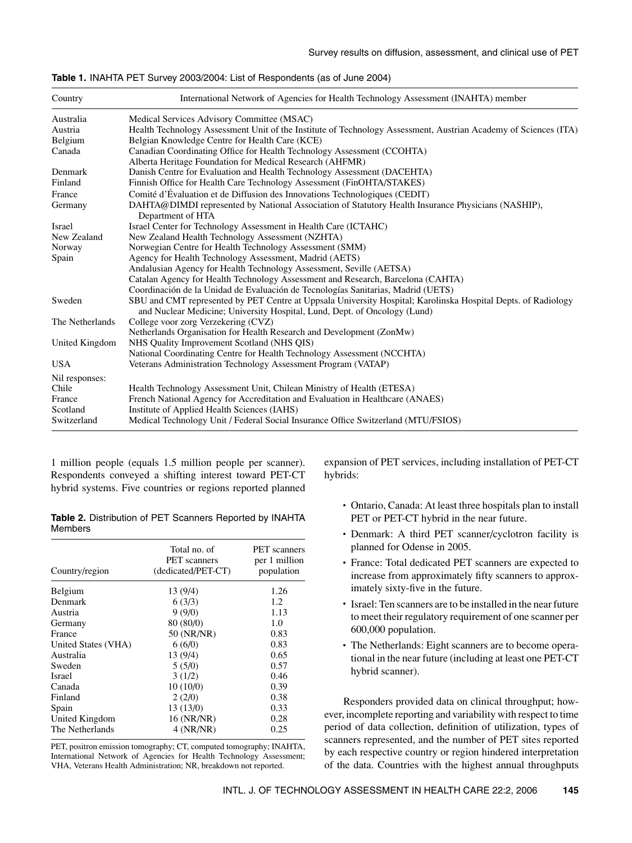| <b>Table 1.</b> INAHTA PET Survey 2003/2004: List of Respondents (as of June 2004) |  |  |  |
|------------------------------------------------------------------------------------|--|--|--|
|------------------------------------------------------------------------------------|--|--|--|

| Country         | International Network of Agencies for Health Technology Assessment (INAHTA) member                                                                                                         |
|-----------------|--------------------------------------------------------------------------------------------------------------------------------------------------------------------------------------------|
| Australia       | Medical Services Advisory Committee (MSAC)                                                                                                                                                 |
| Austria         | Health Technology Assessment Unit of the Institute of Technology Assessment, Austrian Academy of Sciences (ITA)                                                                            |
| Belgium         | Belgian Knowledge Centre for Health Care (KCE)                                                                                                                                             |
| Canada          | Canadian Coordinating Office for Health Technology Assessment (CCOHTA)                                                                                                                     |
|                 | Alberta Heritage Foundation for Medical Research (AHFMR)                                                                                                                                   |
| Denmark         | Danish Centre for Evaluation and Health Technology Assessment (DACEHTA)                                                                                                                    |
| Finland         | Finnish Office for Health Care Technology Assessment (FinOHTA/STAKES)                                                                                                                      |
| France          | Comité d'Évaluation et de Diffusion des Innovations Technologiques (CEDIT)                                                                                                                 |
| Germany         | DAHTA@DIMDI represented by National Association of Statutory Health Insurance Physicians (NASHIP),<br>Department of HTA                                                                    |
| Israel          | Israel Center for Technology Assessment in Health Care (ICTAHC)                                                                                                                            |
| New Zealand     | New Zealand Health Technology Assessment (NZHTA)                                                                                                                                           |
| Norway          | Norwegian Centre for Health Technology Assessment (SMM)                                                                                                                                    |
| Spain           | Agency for Health Technology Assessment, Madrid (AETS)                                                                                                                                     |
|                 | Andalusian Agency for Health Technology Assessment, Seville (AETSA)                                                                                                                        |
|                 | Catalan Agency for Health Technology Assessment and Research, Barcelona (CAHTA)                                                                                                            |
|                 | Coordinación de la Unidad de Evaluación de Tecnologías Sanitarias, Madrid (UETS)                                                                                                           |
| Sweden          | SBU and CMT represented by PET Centre at Uppsala University Hospital; Karolinska Hospital Depts, of Radiology<br>and Nuclear Medicine; University Hospital, Lund, Dept. of Oncology (Lund) |
| The Netherlands | College voor zorg Verzekering (CVZ)                                                                                                                                                        |
|                 | Netherlands Organisation for Health Research and Development (ZonMw)                                                                                                                       |
| United Kingdom  | NHS Quality Improvement Scotland (NHS QIS)                                                                                                                                                 |
|                 | National Coordinating Centre for Health Technology Assessment (NCCHTA)                                                                                                                     |
| <b>USA</b>      | Veterans Administration Technology Assessment Program (VATAP)                                                                                                                              |
| Nil responses:  |                                                                                                                                                                                            |
| Chile           | Health Technology Assessment Unit, Chilean Ministry of Health (ETESA)                                                                                                                      |
| France          | French National Agency for Accreditation and Evaluation in Healthcare (ANAES)                                                                                                              |
| Scotland        | Institute of Applied Health Sciences (IAHS)                                                                                                                                                |
| Switzerland     | Medical Technology Unit / Federal Social Insurance Office Switzerland (MTU/FSIOS)                                                                                                          |

1 million people (equals 1.5 million people per scanner). Respondents conveyed a shifting interest toward PET-CT hybrid systems. Five countries or regions reported planned

**Table 2.** Distribution of PET Scanners Reported by INAHTA Members

| Country/region      | Total no. of<br><b>PET</b> scanners<br>(dedicated/PET-CT) | <b>PET</b> scanners<br>per 1 million<br>population |  |
|---------------------|-----------------------------------------------------------|----------------------------------------------------|--|
| Belgium             | 13(9/4)                                                   | 1.26                                               |  |
| Denmark             | 6(3/3)                                                    | 1.2                                                |  |
| Austria             | 9(9/0)                                                    | 1.13                                               |  |
| Germany             | 80 (80/0)                                                 | 1.0                                                |  |
| France              | 50 (NR/NR)                                                | 0.83                                               |  |
| United States (VHA) | 6(6/0)                                                    | 0.83                                               |  |
| Australia           | 13(9/4)                                                   | 0.65                                               |  |
| Sweden              | 5(5/0)                                                    | 0.57                                               |  |
| <b>Israel</b>       | 3(1/2)                                                    | 0.46                                               |  |
| Canada              | 10(10/0)                                                  | 0.39                                               |  |
| Finland             | 2(2/0)                                                    | 0.38                                               |  |
| Spain               | 13 (13/0)                                                 | 0.33                                               |  |
| United Kingdom      | 16 (NR/NR)                                                | 0.28                                               |  |
| The Netherlands     | 4(NR/NR)                                                  | 0.25                                               |  |

PET, positron emission tomography; CT, computed tomography; INAHTA, International Network of Agencies for Health Technology Assessment; VHA, Veterans Health Administration; NR, breakdown not reported.

expansion of PET services, including installation of PET-CT hybrids:

- Ontario, Canada: At least three hospitals plan to install PET or PET-CT hybrid in the near future.
- Denmark: A third PET scanner/cyclotron facility is planned for Odense in 2005.
- France: Total dedicated PET scanners are expected to increase from approximately fifty scanners to approximately sixty-five in the future.
- Israel: Ten scanners are to be installed in the near future to meet their regulatory requirement of one scanner per 600,000 population.
- The Netherlands: Eight scanners are to become operational in the near future (including at least one PET-CT hybrid scanner).

Responders provided data on clinical throughput; however, incomplete reporting and variability with respect to time period of data collection, definition of utilization, types of scanners represented, and the number of PET sites reported by each respective country or region hindered interpretation of the data. Countries with the highest annual throughputs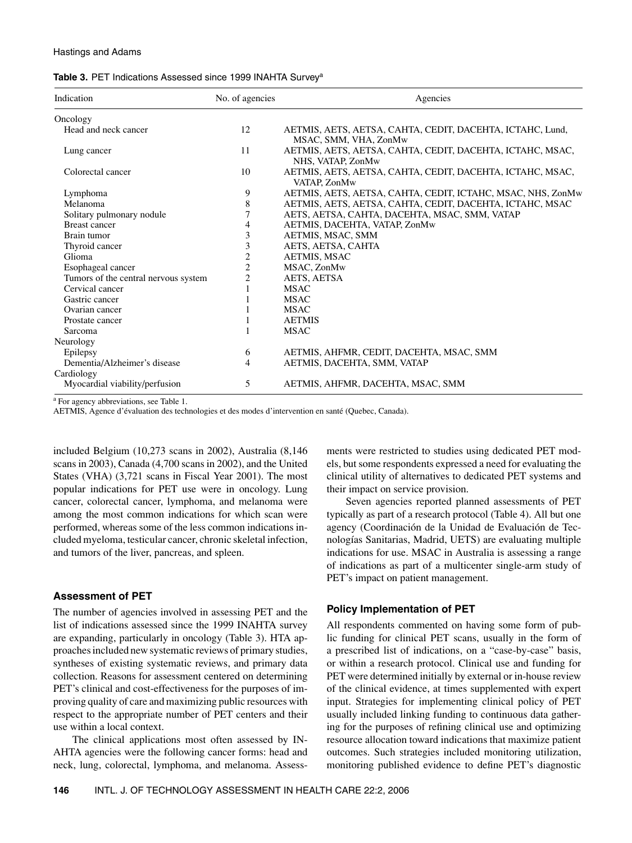| Table 3. PET Indications Assessed since 1999 INAHTA Survey <sup>a</sup> |  |
|-------------------------------------------------------------------------|--|
|-------------------------------------------------------------------------|--|

| Indication                           | No. of agencies | Agencies                                                                           |  |  |
|--------------------------------------|-----------------|------------------------------------------------------------------------------------|--|--|
| Oncology                             |                 |                                                                                    |  |  |
| Head and neck cancer                 | 12              | AETMIS, AETS, AETSA, CAHTA, CEDIT, DACEHTA, ICTAHC, Lund,<br>MSAC, SMM, VHA, ZonMw |  |  |
| Lung cancer                          | 11              | AETMIS, AETS, AETSA, CAHTA, CEDIT, DACEHTA, ICTAHC, MSAC,<br>NHS, VATAP, ZonMw     |  |  |
| Colorectal cancer                    | 10              | AETMIS, AETS, AETSA, CAHTA, CEDIT, DACEHTA, ICTAHC, MSAC,<br>VATAP, ZonMw          |  |  |
| Lymphoma                             | 9               | AETMIS, AETS, AETSA, CAHTA, CEDIT, ICTAHC, MSAC, NHS, ZonMw                        |  |  |
| Melanoma                             | 8               | AETMIS, AETS, AETSA, CAHTA, CEDIT, DACEHTA, ICTAHC, MSAC                           |  |  |
| Solitary pulmonary nodule            |                 | AETS, AETSA, CAHTA, DACEHTA, MSAC, SMM, VATAP                                      |  |  |
| <b>Breast cancer</b>                 | 4               | AETMIS, DACEHTA, VATAP, ZonMw                                                      |  |  |
| Brain tumor                          | 3               | AETMIS, MSAC, SMM                                                                  |  |  |
| Thyroid cancer                       | 3               | AETS, AETSA, CAHTA                                                                 |  |  |
| Glioma                               | 2               | AETMIS, MSAC                                                                       |  |  |
| Esophageal cancer                    | 2               | MSAC, ZonMw                                                                        |  |  |
| Tumors of the central nervous system | 2               | AETS, AETSA                                                                        |  |  |
| Cervical cancer                      |                 | <b>MSAC</b>                                                                        |  |  |
| Gastric cancer                       |                 | <b>MSAC</b>                                                                        |  |  |
| Ovarian cancer                       |                 | <b>MSAC</b>                                                                        |  |  |
| Prostate cancer                      |                 | <b>AETMIS</b>                                                                      |  |  |
| Sarcoma                              |                 | <b>MSAC</b>                                                                        |  |  |
| Neurology                            |                 |                                                                                    |  |  |
| Epilepsy                             | 6               | AETMIS, AHFMR, CEDIT, DACEHTA, MSAC, SMM                                           |  |  |
| Dementia/Alzheimer's disease         | $\overline{4}$  | AETMIS, DACEHTA, SMM, VATAP                                                        |  |  |
| Cardiology                           |                 |                                                                                    |  |  |
| Myocardial viability/perfusion       | 5               | AETMIS, AHFMR, DACEHTA, MSAC, SMM                                                  |  |  |

<sup>a</sup> For agency abbreviations, see Table 1.

AETMIS, Agence d'évaluation des technologies et des modes d'intervention en santé (Quebec, Canada).

included Belgium (10,273 scans in 2002), Australia (8,146 scans in 2003), Canada (4,700 scans in 2002), and the United States (VHA) (3,721 scans in Fiscal Year 2001). The most popular indications for PET use were in oncology. Lung cancer, colorectal cancer, lymphoma, and melanoma were among the most common indications for which scan were performed, whereas some of the less common indications included myeloma, testicular cancer, chronic skeletal infection, and tumors of the liver, pancreas, and spleen.

#### **Assessment of PET**

The number of agencies involved in assessing PET and the list of indications assessed since the 1999 INAHTA survey are expanding, particularly in oncology (Table 3). HTA approaches included new systematic reviews of primary studies, syntheses of existing systematic reviews, and primary data collection. Reasons for assessment centered on determining PET's clinical and cost-effectiveness for the purposes of improving quality of care and maximizing public resources with respect to the appropriate number of PET centers and their use within a local context.

The clinical applications most often assessed by IN-AHTA agencies were the following cancer forms: head and neck, lung, colorectal, lymphoma, and melanoma. Assessments were restricted to studies using dedicated PET models, but some respondents expressed a need for evaluating the clinical utility of alternatives to dedicated PET systems and their impact on service provision.

Seven agencies reported planned assessments of PET typically as part of a research protocol (Table 4). All but one agency (Coordinación de la Unidad de Evaluación de Tecnologías Sanitarias, Madrid, UETS) are evaluating multiple indications for use. MSAC in Australia is assessing a range of indications as part of a multicenter single-arm study of PET's impact on patient management.

# **Policy Implementation of PET**

All respondents commented on having some form of public funding for clinical PET scans, usually in the form of a prescribed list of indications, on a "case-by-case" basis, or within a research protocol. Clinical use and funding for PET were determined initially by external or in-house review of the clinical evidence, at times supplemented with expert input. Strategies for implementing clinical policy of PET usually included linking funding to continuous data gathering for the purposes of refining clinical use and optimizing resource allocation toward indications that maximize patient outcomes. Such strategies included monitoring utilization, monitoring published evidence to define PET's diagnostic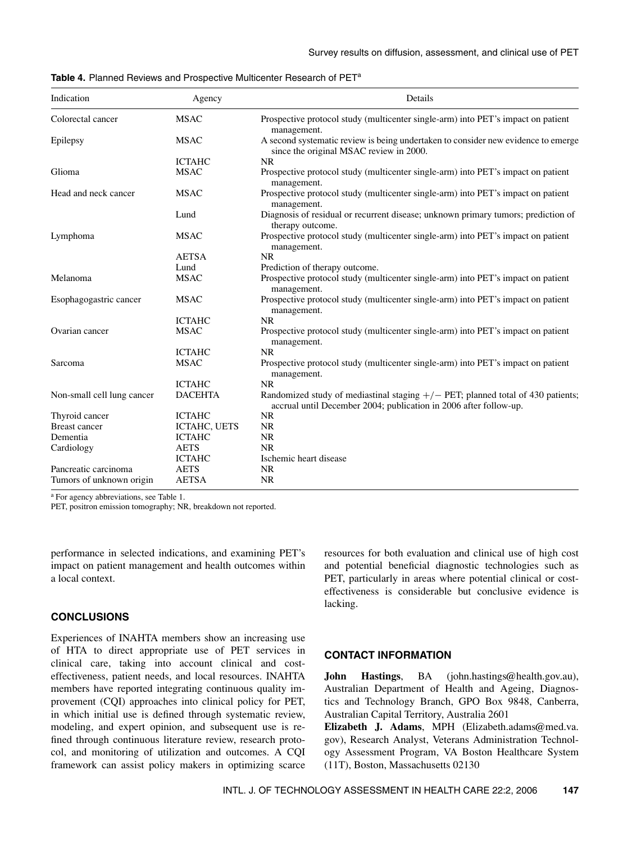| Indication                 | Agency         | Details                                                                                                                                                |  |  |  |
|----------------------------|----------------|--------------------------------------------------------------------------------------------------------------------------------------------------------|--|--|--|
| Colorectal cancer          | <b>MSAC</b>    | Prospective protocol study (multicenter single-arm) into PET's impact on patient<br>management.                                                        |  |  |  |
| Epilepsy                   | <b>MSAC</b>    | A second systematic review is being undertaken to consider new evidence to emerge<br>since the original MSAC review in 2000.                           |  |  |  |
|                            | <b>ICTAHC</b>  | <b>NR</b>                                                                                                                                              |  |  |  |
| Glioma                     | <b>MSAC</b>    | Prospective protocol study (multicenter single-arm) into PET's impact on patient<br>management.                                                        |  |  |  |
| Head and neck cancer       | <b>MSAC</b>    | Prospective protocol study (multicenter single-arm) into PET's impact on patient<br>management.                                                        |  |  |  |
|                            | Lund           | Diagnosis of residual or recurrent disease; unknown primary tumors; prediction of<br>therapy outcome.                                                  |  |  |  |
| Lymphoma                   | <b>MSAC</b>    | Prospective protocol study (multicenter single-arm) into PET's impact on patient<br>management.                                                        |  |  |  |
|                            | <b>AETSA</b>   | <b>NR</b>                                                                                                                                              |  |  |  |
|                            | Lund           | Prediction of therapy outcome.                                                                                                                         |  |  |  |
| Melanoma                   | <b>MSAC</b>    | Prospective protocol study (multicenter single-arm) into PET's impact on patient<br>management.                                                        |  |  |  |
| Esophagogastric cancer     | <b>MSAC</b>    | Prospective protocol study (multicenter single-arm) into PET's impact on patient<br>management.                                                        |  |  |  |
|                            | <b>ICTAHC</b>  | <b>NR</b>                                                                                                                                              |  |  |  |
| Ovarian cancer             | <b>MSAC</b>    | Prospective protocol study (multicenter single-arm) into PET's impact on patient<br>management.                                                        |  |  |  |
|                            | <b>ICTAHC</b>  | <b>NR</b>                                                                                                                                              |  |  |  |
| Sarcoma                    | <b>MSAC</b>    | Prospective protocol study (multicenter single-arm) into PET's impact on patient<br>management.                                                        |  |  |  |
|                            | <b>ICTAHC</b>  | <b>NR</b>                                                                                                                                              |  |  |  |
| Non-small cell lung cancer | <b>DACEHTA</b> | Randomized study of mediastinal staging $+/-$ PET; planned total of 430 patients;<br>accrual until December 2004; publication in 2006 after follow-up. |  |  |  |
| Thyroid cancer             | <b>ICTAHC</b>  | <b>NR</b>                                                                                                                                              |  |  |  |
| <b>Breast cancer</b>       | ICTAHC, UETS   | <b>NR</b>                                                                                                                                              |  |  |  |
| Dementia                   | <b>ICTAHC</b>  | <b>NR</b>                                                                                                                                              |  |  |  |
| Cardiology                 | <b>AETS</b>    | <b>NR</b>                                                                                                                                              |  |  |  |
|                            | <b>ICTAHC</b>  | Ischemic heart disease                                                                                                                                 |  |  |  |
| Pancreatic carcinoma       | <b>AETS</b>    | <b>NR</b>                                                                                                                                              |  |  |  |
| Tumors of unknown origin   | <b>AETSA</b>   | <b>NR</b>                                                                                                                                              |  |  |  |

|  |  |  | Table 4. Planned Reviews and Prospective Multicenter Research of PET <sup>a</sup> |  |  |  |
|--|--|--|-----------------------------------------------------------------------------------|--|--|--|
|--|--|--|-----------------------------------------------------------------------------------|--|--|--|

<sup>a</sup> For agency abbreviations, see Table 1.

PET, positron emission tomography; NR, breakdown not reported.

performance in selected indications, and examining PET's impact on patient management and health outcomes within a local context.

## **CONCLUSIONS**

Experiences of INAHTA members show an increasing use of HTA to direct appropriate use of PET services in clinical care, taking into account clinical and costeffectiveness, patient needs, and local resources. INAHTA members have reported integrating continuous quality improvement (CQI) approaches into clinical policy for PET, in which initial use is defined through systematic review, modeling, and expert opinion, and subsequent use is refined through continuous literature review, research protocol, and monitoring of utilization and outcomes. A CQI framework can assist policy makers in optimizing scarce resources for both evaluation and clinical use of high cost and potential beneficial diagnostic technologies such as PET, particularly in areas where potential clinical or costeffectiveness is considerable but conclusive evidence is lacking.

## **CONTACT INFORMATION**

**John Hastings**, BA (john.hastings@health.gov.au), Australian Department of Health and Ageing, Diagnostics and Technology Branch, GPO Box 9848, Canberra, Australian Capital Territory, Australia 2601

**Elizabeth J. Adams**, MPH (Elizabeth.adams@med.va. gov), Research Analyst, Veterans Administration Technology Assessment Program, VA Boston Healthcare System (11T), Boston, Massachusetts 02130